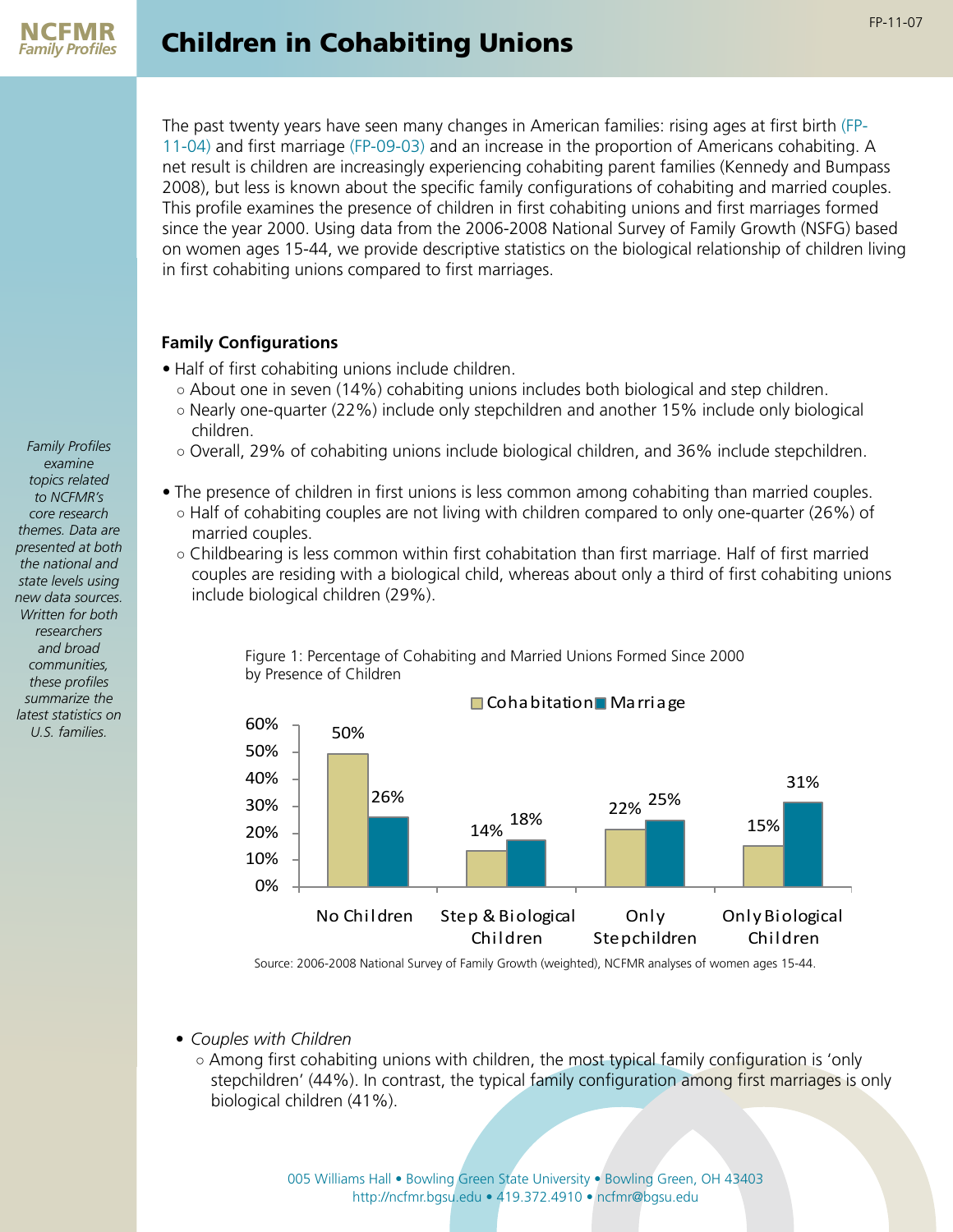The past twenty years have seen many changes in American families: rising ages at first birth [\(FP-](http://ncfmr.bgsu.edu/pdf/family_profiles/file99036.pdf)[11-04\)](http://ncfmr.bgsu.edu/pdf/family_profiles/file99036.pdf) and first marriage [\(FP-09-03\)](http://ncfmr.bgsu.edu/pdf/family_profiles/file100745.pdf) and an increase in the proportion of Americans cohabiting. A net result is children are increasingly experiencing cohabiting parent families (Kennedy and Bumpass 2008), but less is known about the specific family configurations of cohabiting and married couples. This profile examines the presence of children in first cohabiting unions and first marriages formed since the year 2000. Using data from the 2006-2008 National Survey of Family Growth (NSFG) based on women ages 15-44, we provide descriptive statistics on the biological relationship of children living in first cohabiting unions compared to first marriages.

## **Family Configurations**

- Half of first cohabiting unions include children.
	- About one in seven (14%) cohabiting unions includes both biological and step children.
	- Nearly one-quarter (22%) include only stepchildren and another 15% include only biological children.
	- Overall, 29% of cohabiting unions include biological children, and 36% include stepchildren.
- The presence of children in first unions is less common among cohabiting than married couples.
	- Half of cohabiting couples are not living with children compared to only one-quarter (26%) of married couples.
	- Childbearing is less common within first cohabitation than first marriage. Half of first married couples are residing with a biological child, whereas about only a third of first cohabiting unions include biological children (29%).



Figure 1: Percentage of Cohabiting and Married Unions Formed Since 2000 by Presence of Children

Source: 2006-2008 National Survey of Family Growth (weighted), NCFMR analyses of women ages 15-44.

- *• Couples with Children*
	- Among first cohabiting unions with children, the most typical family configuration is 'only stepchildren' (44%). In contrast, the typical family configuration among first marriages is only biological children (41%).

005 Williams Hall • Bowling Green State University • Bowling Green, OH 43403 http://ncfmr.bgsu.edu • 419.372.4910 • ncfmr@bgsu.edu

*Family Profiles examine topics related to NCFMR's core research themes. Data are presented at both the national and state levels using new data sources. Written for both researchers and broad communities, these profiles summarize the latest statistics on U.S. families.*